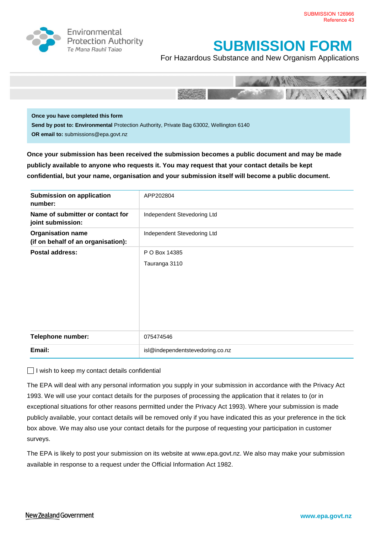

Environmental **Protection Authority** Te Mana Rauhī Tajao

## **SUBMISSION FORM**

For Hazardous Substance and New Organism Applications



**Once you have completed this form Send by post to: Environmental** Protection Authority, Private Bag 63002, Wellington 6140 **OR email to:** submissions@epa.govt.nz

**Once your submission has been received the submission becomes a public document and may be made publicly available to anyone who requests it. You may request that your contact details be kept confidential, but your name, organisation and your submission itself will become a public document.** 

| <b>Submission on application</b><br>number:                    | APP202804                        |
|----------------------------------------------------------------|----------------------------------|
| Name of submitter or contact for<br>joint submission:          | Independent Stevedoring Ltd      |
| <b>Organisation name</b><br>(if on behalf of an organisation): | Independent Stevedoring Ltd      |
| <b>Postal address:</b>                                         | P O Box 14385                    |
|                                                                | Tauranga 3110                    |
| Telephone number:                                              | 075474546                        |
| Email:                                                         | isl@independentstevedoring.co.nz |

 $\Box$  I wish to keep my contact details confidential

The EPA will deal with any personal information you supply in your submission in accordance with the Privacy Act 1993. We will use your contact details for the purposes of processing the application that it relates to (or in exceptional situations for other reasons permitted under the Privacy Act 1993). Where your submission is made publicly available, your contact details will be removed only if you have indicated this as your preference in the tick box above. We may also use your contact details for the purpose of requesting your participation in customer surveys.

The EPA is likely to post your submission on its website at [www.epa.govt.nz.](http://www.ermanz.govt.nz/) We also may make your submission available in response to a request under the Official Information Act 1982.